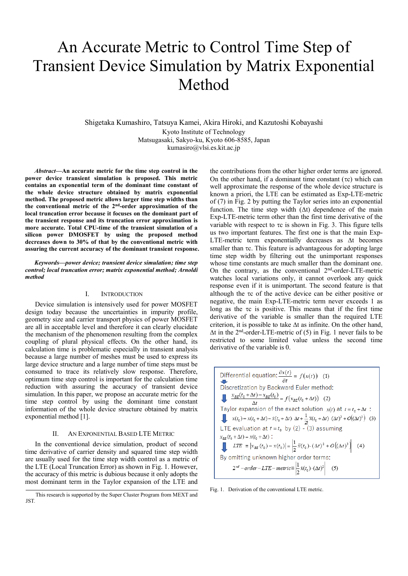# An Accurate Metric to Control Time Step of Transient Device Simulation by Matrix Exponential Method

Shigetaka Kumashiro, Tatsuya Kamei, Akira Hiroki, and Kazutoshi Kobayashi Kyoto Institute of Technology Matsugasaki, Sakyo-ku, Kyoto 606-8585, Japan kumasiro@vlsi.es.kit.ac.jp

*Abstract***—An accurate metric for the time step control in the power device transient simulation is proposed. This metric contains an exponential term of the dominant time constant of the whole device structure obtained by matrix exponential method. The proposed metric allows larger time step widths than the conventional metric of the 2 nd -order approximation of the local truncation error because it focuses on the dominant part of the transient response and its truncation error approximation is more accurate. Total CPU-time of the transient simulation of a silicon power DMOSFET by using the proposed method decreases down to 30% of that by the conventional metric with assuring the current accuracy of the dominant transient response.**

*Keywords—power device; transient device simulation; time step control; local truncation error; matrix exponential method; Arnoldi method*

#### I. INTRODUCTION

Device simulation is intensively used for power MOSFET design today because the uncertainties in impurity profile, geometry size and carrier transport physics of power MOSFET are all in acceptable level and therefore it can clearly elucidate the mechanism of the phenomenon resulting from the complex coupling of plural physical effects. On the other hand, its calculation time is problematic especially in transient analysis because a large number of meshes must be used to express its large device structure and a large number of time steps must be consumed to trace its relatively slow response. Therefore, optimum time step control is important for the calculation time reduction with assuring the accuracy of transient device simulation. In this paper, we propose an accurate metric for the time step control by using the dominant time constant information of the whole device structure obtained by matrix exponential method [1].

#### II. AN EXPONENTIAL BASED LTE METRIC

In the conventional device simulation, product of second time derivative of carrier density and squared time step width are usually used for the time step width control as a metric of the LTE (Local Truncation Error) as shown in Fig. 1. However, the accuracy of this metric is dubious because it only adopts the most dominant term in the Taylor expansion of the LTE and

the contributions from the other higher order terms are ignored. On the other hand, if a dominant time constant  $(\tau c)$  which can well approximate the response of the whole device structure is known a priori, the LTE can be estimated as Exp-LTE-metric of (7) in Fig. 2 by putting the Taylor series into an exponential function. The time step width  $(\Delta t)$  dependence of the main Exp-LTE-metric term other than the first time derivative of the variable with respect to  $\tau c$  is shown in Fig. 3. This figure tells us two important features. The first one is that the main Exp-LTE-metric term exponentially decreases as  $\Delta t$  becomes smaller than  $\tau c$ . This feature is advantageous for adopting large time step width by filtering out the unimportant responses whose time constants are much smaller than the dominant one. On the contrary, as the conventional  $2<sup>nd</sup>$ -order-LTE-metric watches local variations only, it cannot overlook any quick response even if it is unimportant. The second feature is that although the  $\tau c$  of the active device can be either positive or negative, the main Exp-LTE-metric term never exceeds 1 as long as the  $\tau c$  is positive. This means that if the first time derivative of the variable is smaller than the required LTE criterion, it is possible to take  $\Delta t$  as infinite. On the other hand,  $\Delta t$  in the 2<sup>nd</sup>-order-LTE-metric of (5) in Fig. 1 never fails to be restricted to some limited value unless the second time derivative of the variable is 0.

Differential equation: 
$$
\frac{\partial x(t)}{\partial t} = f(x(t))
$$
 (1)  
\nDiscretization by Backward Euler method:  
\n
$$
\frac{x_{BE}(t_0 + \Delta t) - x_{BE}(t_0)}{\Delta t} = f(x_{BE}(t_0 + \Delta t))
$$
 (2)  
\nTaylor expansion of the exact solution  $x(t)$  at  $t = t_0 + \Delta t$ :  
\n $x(t_0) = x(t_0 + \Delta t) - \dot{x}(t_0 + \Delta t) \cdot \Delta t + \frac{1}{2!} \ddot{x}(t_0 + \Delta t) \cdot (\Delta t)^2 + O((\Delta t)^3)$  (3)  
\nLTE evaluation at  $t = t_0$  by (2) - (3) assuming  
\n $x_{BE}(t_0 + \Delta t) = x(t_0 + \Delta t)$ :  
\n $LTE = |x_{BE}(t_0) - x(t_0)| = |\frac{1}{2} \ddot{x}(t_0) \cdot (\Delta t)^2 + O((\Delta t)^3)|$  (4)  
\nBy omitting unknown higher order terms:  
\n $2^{nd} - order - LTE - metric = |\frac{1}{2} \ddot{x}(t_0) \cdot (\Delta t)^2|$  (5)

Fig. 1. Derivation of the conventional LTE metric.

This research is supported by the Super Cluster Program from MEXT and JST*.*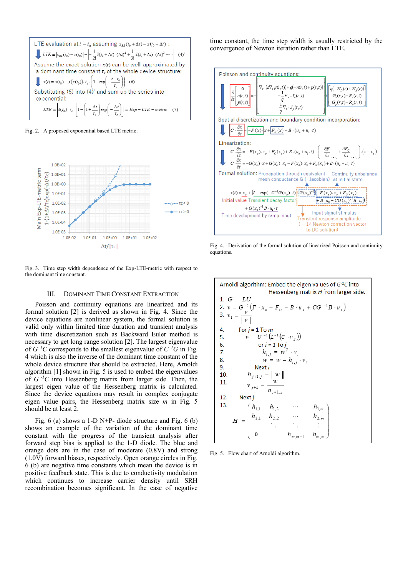

Fig. 2. A proposed exponential based LTE metric.



Fig. 3. Time step width dependence of the Exp-LTE-metric with respect to the dominant time constant.

## III. DOMINANT TIME CONSTANT EXTRACTION

Poisson and continuity equations are linearized and its formal solution [2] is derived as shown in Fig. 4. Since the device equations are nonlinear system, the formal solution is valid only within limited time duration and transient analysis with time discretization such as Backward Euler method is necessary to get long range solution [2]. The largest eigenvalue of  $G^{-1}C$  corresponds to the smallest eigenvalue of  $C^{-1}G$  in Fig. 4 which is also the inverse of the dominant time constant of the whole device structure that should be extracted. Here, Arnoldi algorithm [1] shown in Fig. 5 is used to embed the eigenvalues of  $G^{-1}C$  into Hessenberg matrix from larger side. Then, the largest eigen value of the Hessenberg matrix is calculated. Since the device equations may result in complex conjugate eigen value pairs, the Hessenberg matrix size *m* in Fig. 5 should be at least 2.

Fig. 6 (a) shows a 1-D N+P- diode structure and Fig. 6 (b) shows an example of the variation of the dominant time constant with the progress of the transient analysis after forward step bias is applied to the 1-D diode. The blue and orange dots are in the case of moderate (0.8V) and strong (1.0V) forward biases, respectively. Open orange circles in Fig. 6 (b) are negative time constants which mean the device is in positive feedback state. This is due to conductivity modulation which continues to increase carrier density until SRH recombination becomes significant. In the case of negative

time constant, the time step width is usually restricted by the convergence of Newton iteration rather than LTE.



Fig. 4. Derivation of the formal solution of linearized Poisson and continuity equations.

| Arnoldi algorithm: Embed the eigen values of $GTC$ into<br>Hessenberg matrix H from larger side.                                                                                  |
|-----------------------------------------------------------------------------------------------------------------------------------------------------------------------------------|
| 1. $G = LU$                                                                                                                                                                       |
| 2. $v = G^{-1} (F \cdot x_o - F_c - B \cdot u_o + CG^{-1} B \cdot u_1)$<br>3. $v_1 = \frac{v}{\ v\ }$                                                                             |
|                                                                                                                                                                                   |
|                                                                                                                                                                                   |
| 4.<br>For $j = 1$ To m                                                                                                                                                            |
| $W = U^{-1}(L^{-1}(C \cdot v))$<br>5.                                                                                                                                             |
| 6.<br>For $i = 1$ To $i$                                                                                                                                                          |
| $h_{i,j} = w^T \cdot v_i$<br>7.                                                                                                                                                   |
| 8.<br>$w = w - h_{i,j} \cdot v_i$                                                                                                                                                 |
| 9.<br>Next <i>i</i>                                                                                                                                                               |
| $h_{j+1,j} =   w  $<br>10.                                                                                                                                                        |
| 11.<br>$v_{_{j+1}}=\frac{w}{h_{_{i+1-i}}}$                                                                                                                                        |
|                                                                                                                                                                                   |
| 12.<br>Next j                                                                                                                                                                     |
| 13.                                                                                                                                                                               |
|                                                                                                                                                                                   |
| 3.<br>$H = \begin{pmatrix} h_{1,1} & h_{1,2} & \cdots & h_{1,m} \\ h_{2,1} & h_{2,2} & \cdots & h_{2,m} \\ & \ddots & \ddots & \vdots \\ 0 & & h_{m,m-1} & h_{m,m} \end{pmatrix}$ |
|                                                                                                                                                                                   |
|                                                                                                                                                                                   |

Fig. 5. Flow chart of Arnoldi algorithm.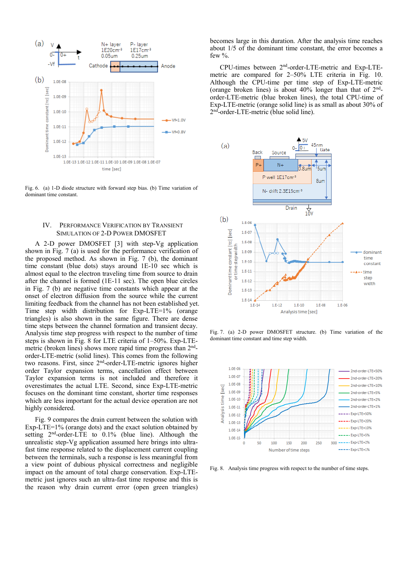

Fig. 6. (a) 1-D diode structure with forward step bias. (b) Time variation of dominant time constant.

### IV. PERFORMANCE VERIFICATION BY TRANSIENT SIMULATION OF 2-D POWER DMOSFET

A 2-D power DMOSFET [3] with step-Vg application shown in Fig. 7 (a) is used for the performance verification of the proposed method. As shown in Fig. 7 (b), the dominant time constant (blue dots) stays around 1E-10 sec which is almost equal to the electron traveling time from source to drain after the channel is formed (1E-11 sec). The open blue circles in Fig. 7 (b) are negative time constants which appear at the onset of electron diffusion from the source while the current limiting feedback from the channel has not been established yet. Time step width distribution for Exp-LTE=1% (orange triangles) is also shown in the same figure. There are dense time steps between the channel formation and transient decay. Analysis time step progress with respect to the number of time steps is shown in Fig. 8 for LTE criteria of 1–50%. Exp-LTEmetric (broken lines) shows more rapid time progress than 2<sup>nd</sup>order-LTE-metric (solid lines). This comes from the following two reasons. First, since 2<sup>nd</sup>-order-LTE-metric ignores higher order Taylor expansion terms, cancellation effect between Taylor expansion terms is not included and therefore it overestimates the actual LTE. Second, since Exp-LTE-metric focuses on the dominant time constant, shorter time responses which are less important for the actual device operation are not highly considered.

Fig. 9 compares the drain current between the solution with Exp-LTE=1% (orange dots) and the exact solution obtained by setting  $2<sup>nd</sup>$ -order-LTE to 0.1% (blue line). Although the unrealistic step-Vg application assumed here brings into ultrafast time response related to the displacement current coupling between the terminals, such a response is less meaningful from a view point of dubious physical correctness and negligible impact on the amount of total charge conservation. Exp-LTEmetric just ignores such an ultra-fast time response and this is the reason why drain current error (open green triangles)

becomes large in this duration. After the analysis time reaches about 1/5 of the dominant time constant, the error becomes a few %.

CPU-times between 2nd -order-LTE-metric and Exp-LTEmetric are compared for 2–50% LTE criteria in Fig. 10. Although the CPU-time per time step of Exp-LTE-metric (orange broken lines) is about 40% longer than that of  $2<sup>nd</sup>$ order-LTE-metric (blue broken lines), the total CPU-time of Exp-LTE-metric (orange solid line) is as small as about 30% of 2 nd -order-LTE-metric (blue solid line).



Fig. 7. (a) 2-D power DMOSFET structure. (b) Time variation of the dominant time constant and time step width.



Fig. 8. Analysis time progress with respect to the number of time steps.